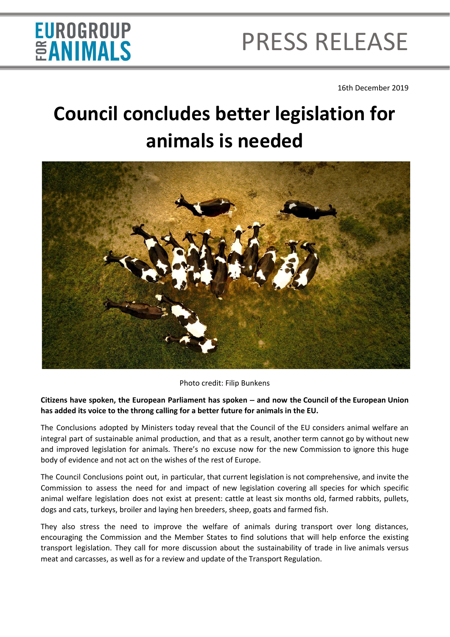# EUROGROUP<br>**ÉANIMALS**

# PRESS RELEASE

16th December 2019

### **Council concludes better legislation for animals is needed**



Photo credit: Filip Bunkens

#### **Citizens have spoken, the European Parliament has spoken – and now the Council of the European Union has added its voice to the throng calling for a better future for animals in the EU.**

The Conclusions adopted by Ministers today reveal that the Council of the EU considers animal welfare an integral part of sustainable animal production, and that as a result, another term cannot go by without new and improved legislation for animals. There's no excuse now for the new Commission to ignore this huge body of evidence and not act on the wishes of the rest of Europe.

The Council Conclusions point out, in particular, that current legislation is not comprehensive, and invite the Commission to assess the need for and impact of new legislation covering all species for which specific animal welfare legislation does not exist at present: cattle at least six months old, farmed rabbits, pullets, dogs and cats, turkeys, broiler and laying hen breeders, sheep, goats and farmed fish.

They also stress the need to improve the welfare of animals during transport over long distances, encouraging the Commission and the Member States to find solutions that will help enforce the existing transport legislation. They call for more discussion about the sustainability of trade in live animals versus meat and carcasses, as well as for a review and update of the Transport Regulation.